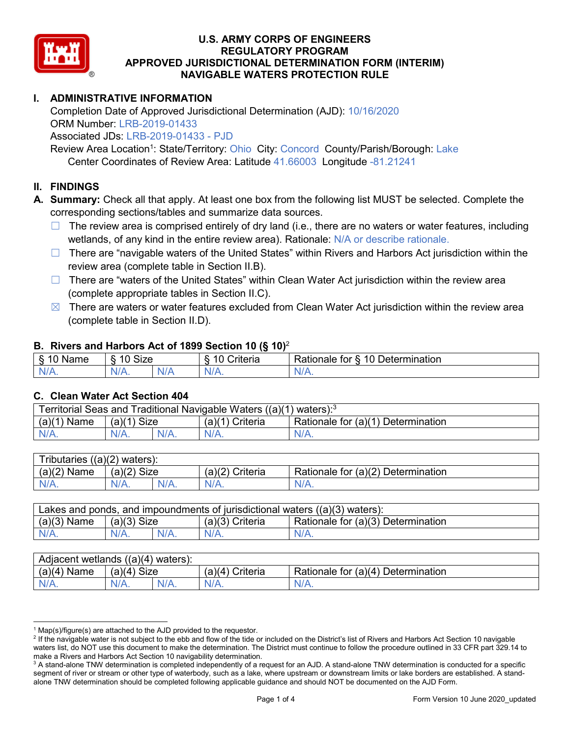

# **I. ADMINISTRATIVE INFORMATION**

Completion Date of Approved Jurisdictional Determination (AJD): 10/16/2020 ORM Number: LRB-2019-01433 Associated JDs: LRB-2019-01433 - PJD

Review Area Location<sup>1</sup>: State/Territory: Ohio City: Concord County/Parish/Borough: Lake Center Coordinates of Review Area: Latitude 41.66003 Longitude -81.21241

### **II. FINDINGS**

**A. Summary:** Check all that apply. At least one box from the following list MUST be selected. Complete the corresponding sections/tables and summarize data sources.

- $\Box$  The review area is comprised entirely of dry land (i.e., there are no waters or water features, including wetlands, of any kind in the entire review area). Rationale: N/A or describe rationale.
- $\Box$  There are "navigable waters of the United States" within Rivers and Harbors Act jurisdiction within the review area (complete table in Section II.B).
- $\Box$  There are "waters of the United States" within Clean Water Act jurisdiction within the review area (complete appropriate tables in Section II.C).
- $\boxtimes$  There are waters or water features excluded from Clean Water Act jurisdiction within the review area (complete table in Section II.D).

### **B. Rivers and Harbors Act of 1899 Section 10 (§ 10)**<sup>2</sup>

| $\cdot$     |                                             |           |                          |                                                       |  |  |  |  |
|-------------|---------------------------------------------|-----------|--------------------------|-------------------------------------------------------|--|--|--|--|
| Name        | <b>Size</b><br>$\overline{A}$<br>- 0<br>. . |           | .<br>10<br>-<br>triteria | 310 <sup>7</sup><br>⊃etermınatıon<br>tor<br>≺atıonale |  |  |  |  |
| N/L<br>- 11 | 'N/A.                                       | w<br>17 L | 17. TV                   | 'N<br>$\mathbf{v}$                                    |  |  |  |  |

### **C. Clean Water Act Section 404**

| Territorial Seas and Traditional Navigable Waters ((a)(1)<br>` waters): <sup>3</sup> |                |  |                    |                                    |  |  |  |
|--------------------------------------------------------------------------------------|----------------|--|--------------------|------------------------------------|--|--|--|
| (a)(1)<br>Name                                                                       | Size<br>(a)(1) |  | (a)(1)<br>Criteria | Rationale for (a)(1) Determination |  |  |  |
|                                                                                      | $N/A$ .        |  | $N/A$ .            | $N/A$ .                            |  |  |  |

| Tributaries $((a)(2)$ waters): |               |  |                 |                                    |  |  |  |
|--------------------------------|---------------|--|-----------------|------------------------------------|--|--|--|
| $(a)(2)$ Name                  | $(a)(2)$ Size |  | (a)(2) Criteria | Rationale for (a)(2) Determination |  |  |  |
| $N/A$ .                        | $N/A$ .       |  | $N/A$ .         | $N/A$ .                            |  |  |  |

| Lakes and ponds, and impoundments of jurisdictional waters $((a)(3)$ waters): |               |  |                   |                                    |  |  |
|-------------------------------------------------------------------------------|---------------|--|-------------------|------------------------------------|--|--|
| $(a)(3)$ Name                                                                 | $(a)(3)$ Size |  | $(a)(3)$ Criteria | Rationale for (a)(3) Determination |  |  |
| $N/A$ .                                                                       | $N/A$ .       |  | $N/A$ .           | $N/A$ .                            |  |  |

| Adjacent wetlands $((a)(4)$ waters): |                       |         |                    |                                         |  |  |  |
|--------------------------------------|-----------------------|---------|--------------------|-----------------------------------------|--|--|--|
| (a)(4)<br>Name                       | (a)(4)<br><b>Size</b> |         | (a)(4)<br>Criteria | Rationale for (a)(4) D<br>Determination |  |  |  |
| $N/A$ .                              | N/A.                  | $N/A$ . | $N/A$ .            | $N/A$ .                                 |  |  |  |

 $1$  Map(s)/figure(s) are attached to the AJD provided to the requestor.

<sup>&</sup>lt;sup>2</sup> If the navigable water is not subject to the ebb and flow of the tide or included on the District's list of Rivers and Harbors Act Section 10 navigable waters list, do NOT use this document to make the determination. The District must continue to follow the procedure outlined in 33 CFR part 329.14 to make a Rivers and Harbors Act Section 10 navigability determination.

<sup>&</sup>lt;sup>3</sup> A stand-alone TNW determination is completed independently of a request for an AJD. A stand-alone TNW determination is conducted for a specific segment of river or stream or other type of waterbody, such as a lake, where upstream or downstream limits or lake borders are established. A standalone TNW determination should be completed following applicable guidance and should NOT be documented on the AJD Form.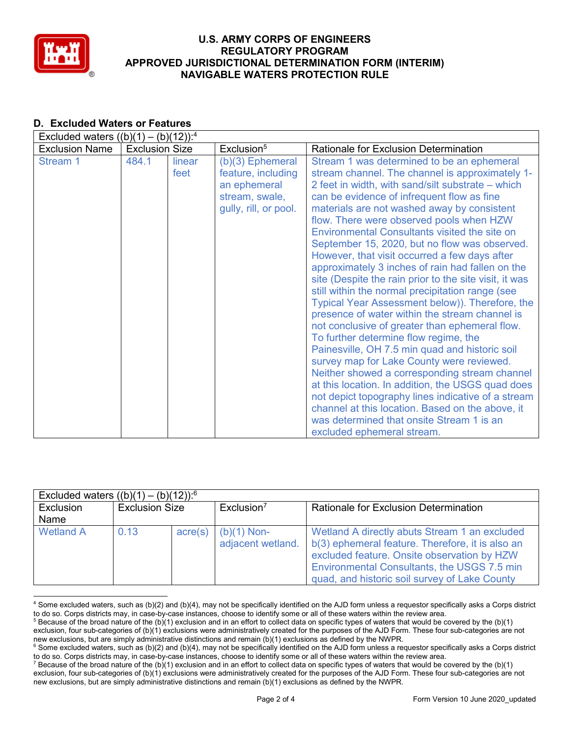

#### **D. Excluded Waters or Features** Excluded waters  $((h)(1) - (h)(12))^{.4}$

| LACRUGUE WALCES $I(D)I(T) - I(D)I(TZ)$ . |                       |                |                                                                                                     |                                                                                                                                                                                                                                                                                                                                                                                                                                                                                                                                                                                                                                                                                                                                                                                                                                                                                                                                                                                                                                                                                                                                                                                                            |
|------------------------------------------|-----------------------|----------------|-----------------------------------------------------------------------------------------------------|------------------------------------------------------------------------------------------------------------------------------------------------------------------------------------------------------------------------------------------------------------------------------------------------------------------------------------------------------------------------------------------------------------------------------------------------------------------------------------------------------------------------------------------------------------------------------------------------------------------------------------------------------------------------------------------------------------------------------------------------------------------------------------------------------------------------------------------------------------------------------------------------------------------------------------------------------------------------------------------------------------------------------------------------------------------------------------------------------------------------------------------------------------------------------------------------------------|
| <b>Exclusion Name</b>                    | <b>Exclusion Size</b> |                | Exclusion <sup>5</sup>                                                                              | <b>Rationale for Exclusion Determination</b>                                                                                                                                                                                                                                                                                                                                                                                                                                                                                                                                                                                                                                                                                                                                                                                                                                                                                                                                                                                                                                                                                                                                                               |
| Stream 1                                 | 484.1                 | linear<br>feet | $(b)(3)$ Ephemeral<br>feature, including<br>an ephemeral<br>stream, swale,<br>gully, rill, or pool. | Stream 1 was determined to be an ephemeral<br>stream channel. The channel is approximately 1-<br>2 feet in width, with sand/silt substrate – which<br>can be evidence of infrequent flow as fine<br>materials are not washed away by consistent<br>flow. There were observed pools when HZW<br>Environmental Consultants visited the site on<br>September 15, 2020, but no flow was observed.<br>However, that visit occurred a few days after<br>approximately 3 inches of rain had fallen on the<br>site (Despite the rain prior to the site visit, it was<br>still within the normal precipitation range (see<br>Typical Year Assessment below)). Therefore, the<br>presence of water within the stream channel is<br>not conclusive of greater than ephemeral flow.<br>To further determine flow regime, the<br>Painesville, OH 7.5 min quad and historic soil<br>survey map for Lake County were reviewed.<br>Neither showed a corresponding stream channel<br>at this location. In addition, the USGS quad does<br>not depict topography lines indicative of a stream<br>channel at this location. Based on the above, it<br>was determined that onsite Stream 1 is an<br>excluded ephemeral stream. |

| Excluded waters $((b)(1) - (b)(12))$ : <sup>6</sup> |                       |                  |                                    |                                                                                                                                                                                                                                                  |  |  |  |
|-----------------------------------------------------|-----------------------|------------------|------------------------------------|--------------------------------------------------------------------------------------------------------------------------------------------------------------------------------------------------------------------------------------------------|--|--|--|
| Exclusion                                           | <b>Exclusion Size</b> |                  | Exclusion <sup>7</sup>             | Rationale for Exclusion Determination                                                                                                                                                                                                            |  |  |  |
| Name                                                |                       |                  |                                    |                                                                                                                                                                                                                                                  |  |  |  |
| <b>Wetland A</b>                                    | 0.13                  | $\text{acre}(s)$ | $(b)(1)$ Non-<br>adjacent wetland. | Wetland A directly abuts Stream 1 an excluded<br>b(3) ephemeral feature. Therefore, it is also an<br>excluded feature. Onsite observation by HZW<br>Environmental Consultants, the USGS 7.5 min<br>quad, and historic soil survey of Lake County |  |  |  |

 <sup>4</sup> Some excluded waters, such as (b)(2) and (b)(4), may not be specifically identified on the AJD form unless a requestor specifically asks a Corps district to do so. Corps districts may, in case-by-case instances, choose to identify some or all of these waters within the review area.

 $5$  Because of the broad nature of the (b)(1) exclusion and in an effort to collect data on specific types of waters that would be covered by the (b)(1) exclusion, four sub-categories of (b)(1) exclusions were administratively created for the purposes of the AJD Form. These four sub-categories are not new exclusions, but are simply administrative distinctions and remain (b)(1) exclusions as defined by the NWPR.

<sup>&</sup>lt;sup>6</sup> Some excluded waters, such as (b)(2) and (b)(4), may not be specifically identified on the AJD form unless a requestor specifically asks a Corps district to do so. Corps districts may, in case-by-case instances, choose to identify some or all of these waters within the review area.

<sup>&</sup>lt;sup>7</sup> Because of the broad nature of the (b)(1) exclusion and in an effort to collect data on specific types of waters that would be covered by the (b)(1) exclusion, four sub-categories of (b)(1) exclusions were administratively created for the purposes of the AJD Form. These four sub-categories are not new exclusions, but are simply administrative distinctions and remain (b)(1) exclusions as defined by the NWPR.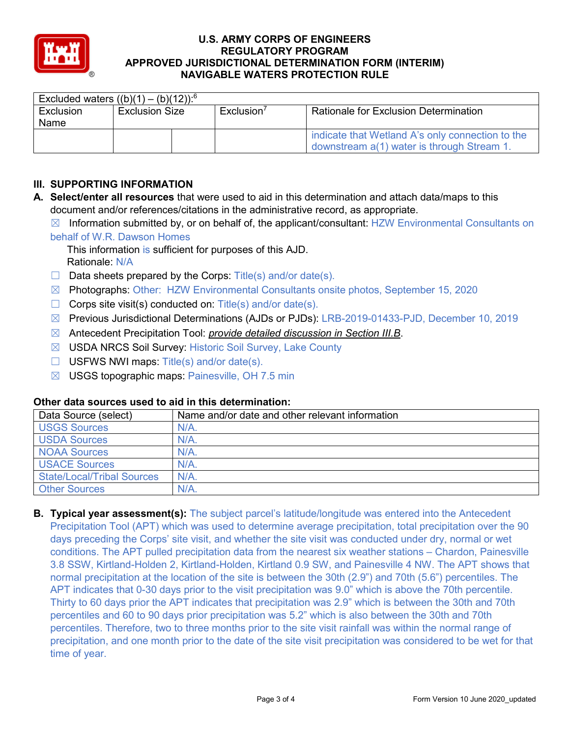

| Excluded waters $((b)(1) - (b)(12))$ : <sup>6</sup> |                       |  |                        |                                                                                                |
|-----------------------------------------------------|-----------------------|--|------------------------|------------------------------------------------------------------------------------------------|
| Exclusion                                           | <b>Exclusion Size</b> |  | Exclusion <sup>7</sup> | <b>Rationale for Exclusion Determination</b>                                                   |
| Name                                                |                       |  |                        |                                                                                                |
|                                                     |                       |  |                        | indicate that Wetland A's only connection to the<br>downstream a(1) water is through Stream 1. |

# **III. SUPPORTING INFORMATION**

- **A. Select/enter all resources** that were used to aid in this determination and attach data/maps to this document and/or references/citations in the administrative record, as appropriate.
	- $\boxtimes$  Information submitted by, or on behalf of, the applicant/consultant: HZW Environmental Consultants on behalf of W.R. Dawson Homes
		- This information is sufficient for purposes of this AJD. Rationale: N/A
	- $\Box$  Data sheets prepared by the Corps: Title(s) and/or date(s).
	- ☒ Photographs: Other: HZW Environmental Consultants onsite photos, September 15, 2020
	- $\Box$  Corps site visit(s) conducted on: Title(s) and/or date(s).
	- ☒ Previous Jurisdictional Determinations (AJDs or PJDs): LRB-2019-01433-PJD, December 10, 2019
	- ☒ Antecedent Precipitation Tool: *provide detailed discussion in Section III.B*.
	- ☒ USDA NRCS Soil Survey: Historic Soil Survey, Lake County
	- ☐ USFWS NWI maps: Title(s) and/or date(s).
	- $\boxtimes$  USGS topographic maps: Painesville, OH 7.5 min

## **Other data sources used to aid in this determination:**

| Data Source (select)              | Name and/or date and other relevant information |
|-----------------------------------|-------------------------------------------------|
| <b>USGS Sources</b>               | N/A                                             |
| <b>USDA Sources</b>               | N/A                                             |
| <b>NOAA Sources</b>               | N/A                                             |
| <b>USACE Sources</b>              | $N/A$ .                                         |
| <b>State/Local/Tribal Sources</b> | N/A                                             |
| <b>Other Sources</b>              | N/A                                             |

**B. Typical year assessment(s):** The subject parcel's latitude/longitude was entered into the Antecedent Precipitation Tool (APT) which was used to determine average precipitation, total precipitation over the 90 days preceding the Corps' site visit, and whether the site visit was conducted under dry, normal or wet conditions. The APT pulled precipitation data from the nearest six weather stations – Chardon, Painesville 3.8 SSW, Kirtland-Holden 2, Kirtland-Holden, Kirtland 0.9 SW, and Painesville 4 NW. The APT shows that normal precipitation at the location of the site is between the 30th (2.9") and 70th (5.6") percentiles. The APT indicates that 0-30 days prior to the visit precipitation was 9.0" which is above the 70th percentile. Thirty to 60 days prior the APT indicates that precipitation was 2.9" which is between the 30th and 70th percentiles and 60 to 90 days prior precipitation was 5.2" which is also between the 30th and 70th percentiles. Therefore, two to three months prior to the site visit rainfall was within the normal range of precipitation, and one month prior to the date of the site visit precipitation was considered to be wet for that time of year.